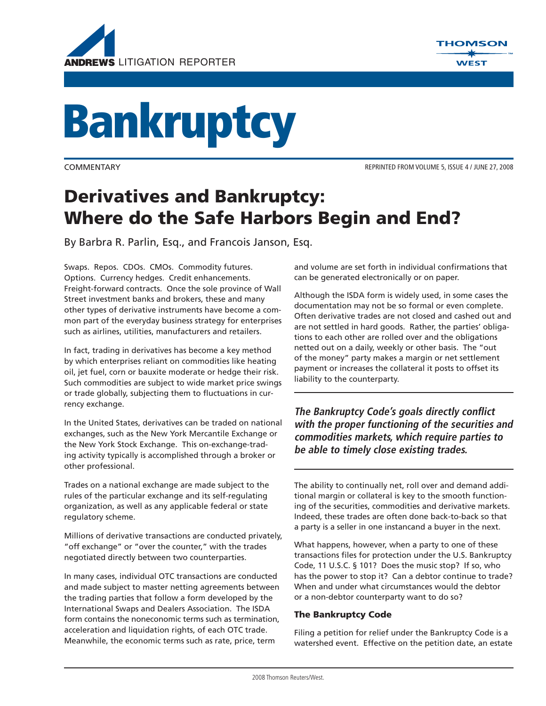



# **Bankruptcy**

COMMENTARY REPRINTED FROM VOLUME 5, ISSUE 4 / JUNE 27, 2008

# **Derivatives and Bankruptcy: Where do the Safe Harbors Begin and End?**

By Barbra R. Parlin, Esq., and Francois Janson, Esq.

Swaps. Repos. CDOs. CMOs. Commodity futures. Options. Currency hedges. Credit enhancements. Freight-forward contracts. Once the sole province of Wall Street investment banks and brokers, these and many other types of derivative instruments have become a common part of the everyday business strategy for enterprises such as airlines, utilities, manufacturers and retailers.

In fact, trading in derivatives has become a key method by which enterprises reliant on commodities like heating oil, jet fuel, corn or bauxite moderate or hedge their risk. Such commodities are subject to wide market price swings or trade globally, subjecting them to fluctuations in currency exchange.

In the United States, derivatives can be traded on national exchanges, such as the New York Mercantile Exchange or the New York Stock Exchange. This on-exchange-trading activity typically is accomplished through a broker or other professional.

Trades on a national exchange are made subject to the rules of the particular exchange and its self-regulating organization, as well as any applicable federal or state regulatory scheme.

Millions of derivative transactions are conducted privately, "off exchange" or "over the counter," with the trades negotiated directly between two counterparties.

In many cases, individual OTC transactions are conducted and made subject to master netting agreements between the trading parties that follow a form developed by the International Swaps and Dealers Association. The ISDA form contains the noneconomic terms such as termination, acceleration and liquidation rights, of each OTC trade. Meanwhile, the economic terms such as rate, price, term

and volume are set forth in individual confirmations that can be generated electronically or on paper.

Although the ISDA form is widely used, in some cases the documentation may not be so formal or even complete. Often derivative trades are not closed and cashed out and are not settled in hard goods. Rather, the parties' obligations to each other are rolled over and the obligations netted out on a daily, weekly or other basis. The "out of the money" party makes a margin or net settlement payment or increases the collateral it posts to offset its liability to the counterparty.

**The Bankruptcy Code's goals directly conflict with the proper functioning of the securities and commodities markets, which require parties to be able to timely close existing trades.** 

The ability to continually net, roll over and demand additional margin or collateral is key to the smooth functioning of the securities, commodities and derivative markets. Indeed, these trades are often done back-to-back so that a party is a seller in one instancand a buyer in the next.

What happens, however, when a party to one of these transactions files for protection under the U.S. Bankruptcy Code, 11 U.S.C. § 101? Does the music stop? If so, who has the power to stop it? Can a debtor continue to trade? When and under what circumstances would the debtor or a non-debtor counterparty want to do so?

# **The Bankruptcy Code**

Filing a petition for relief under the Bankruptcy Code is a watershed event. Effective on the petition date, an estate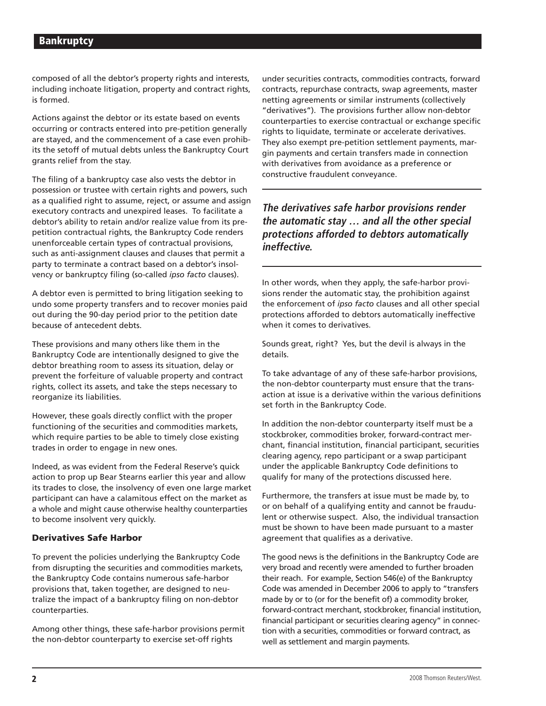composed of all the debtor's property rights and interests, including inchoate litigation, property and contract rights, is formed.

Actions against the debtor or its estate based on events occurring or contracts entered into pre-petition generally are stayed, and the commencement of a case even prohibits the setoff of mutual debts unless the Bankruptcy Court grants relief from the stay.

The filing of a bankruptcy case also vests the debtor in possession or trustee with certain rights and powers, such as a qualified right to assume, reject, or assume and assign executory contracts and unexpired leases. To facilitate a debtor's ability to retain and/or realize value from its prepetition contractual rights, the Bankruptcy Code renders unenforceable certain types of contractual provisions, such as anti-assignment clauses and clauses that permit a party to terminate a contract based on a debtor's insolvency or bankruptcy filing (so-called *ipso facto* clauses).

A debtor even is permitted to bring litigation seeking to undo some property transfers and to recover monies paid out during the 90-day period prior to the petition date because of antecedent debts.

These provisions and many others like them in the Bankruptcy Code are intentionally designed to give the debtor breathing room to assess its situation, delay or prevent the forfeiture of valuable property and contract rights, collect its assets, and take the steps necessary to reorganize its liabilities.

However, these goals directly conflict with the proper functioning of the securities and commodities markets, which require parties to be able to timely close existing trades in order to engage in new ones.

Indeed, as was evident from the Federal Reserve's quick action to prop up Bear Stearns earlier this year and allow its trades to close, the insolvency of even one large market participant can have a calamitous effect on the market as a whole and might cause otherwise healthy counterparties to become insolvent very quickly.

### **Derivatives Safe Harbor**

To prevent the policies underlying the Bankruptcy Code from disrupting the securities and commodities markets, the Bankruptcy Code contains numerous safe-harbor provisions that, taken together, are designed to neutralize the impact of a bankruptcy filing on non-debtor counterparties.

Among other things, these safe-harbor provisions permit the non-debtor counterparty to exercise set-off rights

under securities contracts, commodities contracts, forward contracts, repurchase contracts, swap agreements, master netting agreements or similar instruments (collectively "derivatives"). The provisions further allow non-debtor counterparties to exercise contractual or exchange specific rights to liquidate, terminate or accelerate derivatives. They also exempt pre-petition settlement payments, margin payments and certain transfers made in connection with derivatives from avoidance as a preference or constructive fraudulent conveyance.

# **The derivatives safe harbor provisions render the automatic stay … and all the other special protections afforded to debtors automatically ineffective.**

In other words, when they apply, the safe-harbor provisions render the automatic stay, the prohibition against the enforcement of *ipso facto* clauses and all other special protections afforded to debtors automatically ineffective when it comes to derivatives.

Sounds great, right? Yes, but the devil is always in the details.

To take advantage of any of these safe-harbor provisions, the non-debtor counterparty must ensure that the transaction at issue is a derivative within the various definitions set forth in the Bankruptcy Code.

In addition the non-debtor counterparty itself must be a stockbroker, commodities broker, forward-contract merchant, financial institution, financial participant, securities clearing agency, repo participant or a swap participant under the applicable Bankruptcy Code definitions to qualify for many of the protections discussed here.

Furthermore, the transfers at issue must be made by, to or on behalf of a qualifying entity and cannot be fraudulent or otherwise suspect. Also, the individual transaction must be shown to have been made pursuant to a master agreement that qualifies as a derivative.

The good news is the definitions in the Bankruptcy Code are very broad and recently were amended to further broaden their reach. For example, Section 546(e) of the Bankruptcy Code was amended in December 2006 to apply to "transfers made by or to (or for the benefit of) a commodity broker, forward-contract merchant, stockbroker, financial institution, financial participant or securities clearing agency" in connection with a securities, commodities or forward contract, as well as settlement and margin payments.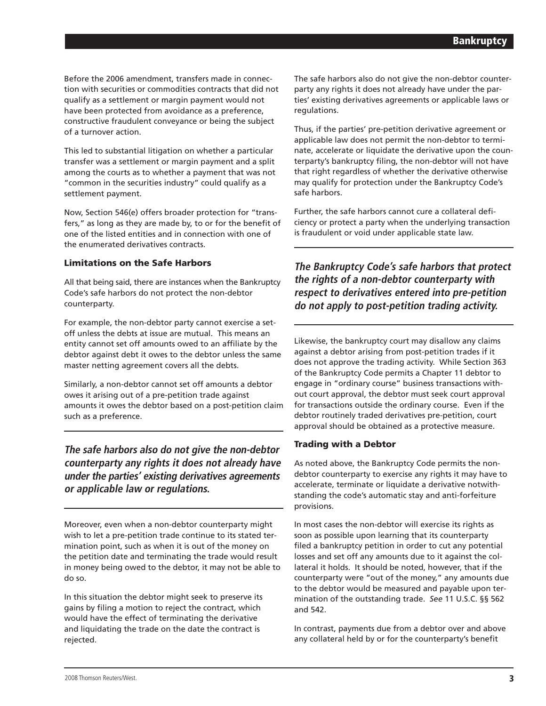Before the 2006 amendment, transfers made in connection with securities or commodities contracts that did not qualify as a settlement or margin payment would not have been protected from avoidance as a preference, constructive fraudulent conveyance or being the subject of a turnover action.

This led to substantial litigation on whether a particular transfer was a settlement or margin payment and a split among the courts as to whether a payment that was not "common in the securities industry" could qualify as a settlement payment.

Now, Section 546(e) offers broader protection for "transfers," as long as they are made by, to or for the benefit of one of the listed entities and in connection with one of the enumerated derivatives contracts.

# **Limitations on the Safe Harbors**

All that being said, there are instances when the Bankruptcy Code's safe harbors do not protect the non-debtor counterparty.

For example, the non-debtor party cannot exercise a setoff unless the debts at issue are mutual. This means an entity cannot set off amounts owed to an affiliate by the debtor against debt it owes to the debtor unless the same master netting agreement covers all the debts.

Similarly, a non-debtor cannot set off amounts a debtor owes it arising out of a pre-petition trade against amounts it owes the debtor based on a post-petition claim such as a preference.

**The safe harbors also do not give the non-debtor counterparty any rights it does not already have under the parties' existing derivatives agreements or applicable law or regulations.** 

Moreover, even when a non-debtor counterparty might wish to let a pre-petition trade continue to its stated termination point, such as when it is out of the money on the petition date and terminating the trade would result in money being owed to the debtor, it may not be able to do so.

In this situation the debtor might seek to preserve its gains by filing a motion to reject the contract, which would have the effect of terminating the derivative and liquidating the trade on the date the contract is rejected.

The safe harbors also do not give the non-debtor counterparty any rights it does not already have under the parties' existing derivatives agreements or applicable laws or regulations.

Thus, if the parties' pre-petition derivative agreement or applicable law does not permit the non-debtor to terminate, accelerate or liquidate the derivative upon the counterparty's bankruptcy filing, the non-debtor will not have that right regardless of whether the derivative otherwise may qualify for protection under the Bankruptcy Code's safe harbors.

Further, the safe harbors cannot cure a collateral deficiency or protect a party when the underlying transaction is fraudulent or void under applicable state law.

**The Bankruptcy Code's safe harbors that protect the rights of a non-debtor counterparty with respect to derivatives entered into pre-petition do not apply to post-petition trading activity.**

Likewise, the bankruptcy court may disallow any claims against a debtor arising from post-petition trades if it does not approve the trading activity. While Section 363 of the Bankruptcy Code permits a Chapter 11 debtor to engage in "ordinary course" business transactions without court approval, the debtor must seek court approval for transactions outside the ordinary course. Even if the debtor routinely traded derivatives pre-petition, court approval should be obtained as a protective measure.

### **Trading with a Debtor**

As noted above, the Bankruptcy Code permits the nondebtor counterparty to exercise any rights it may have to accelerate, terminate or liquidate a derivative notwithstanding the code's automatic stay and anti-forfeiture provisions.

In most cases the non-debtor will exercise its rights as soon as possible upon learning that its counterparty filed a bankruptcy petition in order to cut any potential losses and set off any amounts due to it against the collateral it holds. It should be noted, however, that if the counterparty were "out of the money," any amounts due to the debtor would be measured and payable upon termination of the outstanding trade. *See* 11 U.S.C. §§ 562 and 542.

In contrast, payments due from a debtor over and above any collateral held by or for the counterparty's benefit